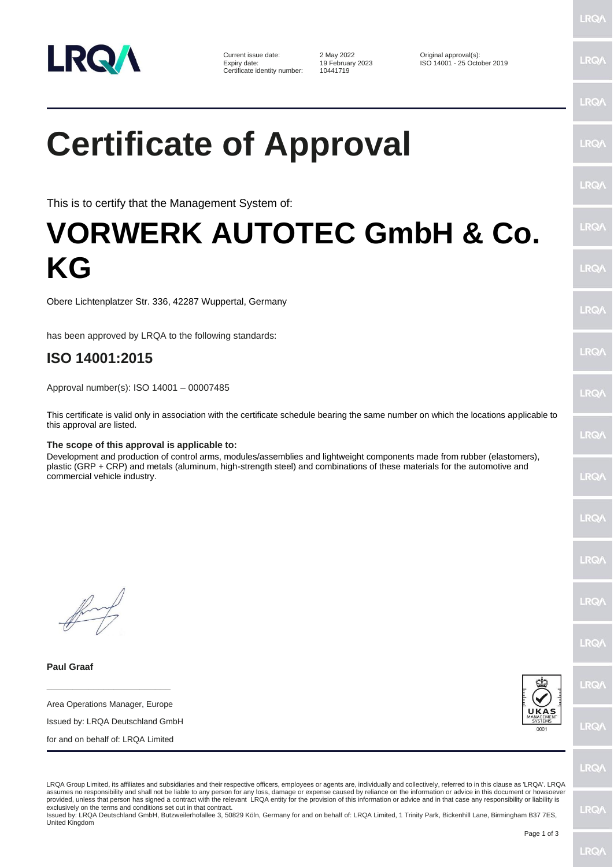

Current issue date: 2 May 2022 Original approval(s): Certificate identity number:

19 February 2023 **ISO 14001 - 25 October 2019**<br>10441719

## **Certificate of Approval**

This is to certify that the Management System of:

## **VORWERK AUTOTEC GmbH & Co. KG**

Obere Lichtenplatzer Str. 336, 42287 Wuppertal, Germany

has been approved by LRQA to the following standards:

## **ISO 14001:2015**

Approval number(s): ISO 14001 – 00007485

This certificate is valid only in association with the certificate schedule bearing the same number on which the locations applicable to this approval are listed.

## **The scope of this approval is applicable to:**

Development and production of control arms, modules/assemblies and lightweight components made from rubber (elastomers), plastic (GRP + CRP) and metals (aluminum, high-strength steel) and combinations of these materials for the automotive and commercial vehicle industry.

**Paul Graaf**

**\_\_\_\_\_\_\_\_\_\_\_\_\_\_\_\_\_\_\_\_\_\_\_\_** Area Operations Manager, Europe

Issued by: LRQA Deutschland GmbH

for and on behalf of: LRQA Limited



LRQ/

LRQA Group Limited, its affiliates and subsidiaries and their respective officers, employees or agents are, individually and collectively, referred to in this clause as 'LRQA'. LRQA assumes no responsibility and shall not be liable to any person for any loss, damage or expense caused by reliance on the information or advice in this document or howsoever provided, unless that person has signed a contract with the relevant LRQA entity for the provision of this information or advice and in that case any responsibility or liability is exclusively on the terms and conditions set out in that contract.

Issued by: LRQA Deutschland GmbH, Butzweilerhofallee 3, 50829 Köln, Germany for and on behalf of: LRQA Limited, 1 Trinity Park, Bickenhill Lane, Birmingham B37 7ES, United Kingdom

LRQ/

LRQ/

**LRQ/** 

**LRQ/** 

**LRO/** 

**LRQ** 

LRQ/

LRQ/

**LRQ/** 

LRQ/

LRQ/

**LRQ/** 

LRQ/

LRQ/

LRQ/

LRQ/

LRQ/

LRQ/

**IRQ/**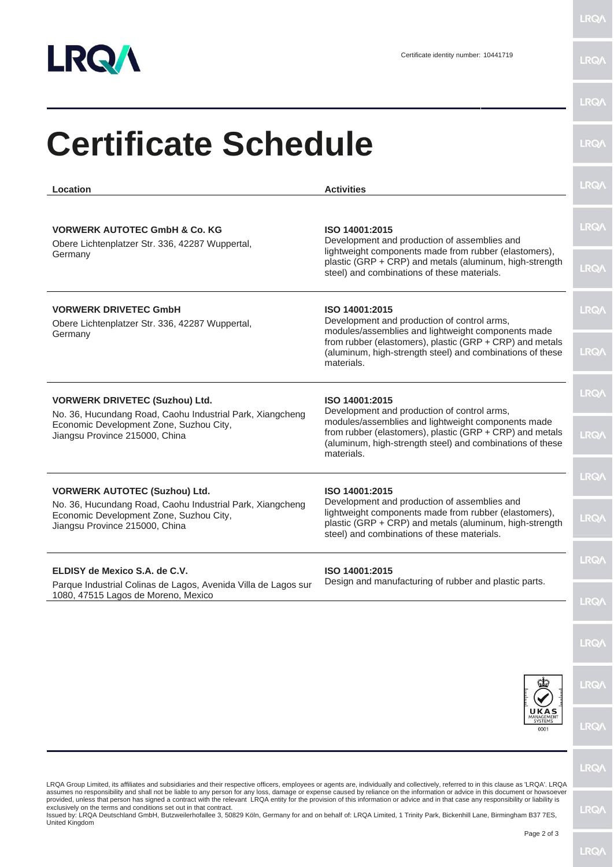

LRQ/\

|                                                                                                                                                                                 | <b>Activities</b>                                                                                                                                                                                                                                          | <b>LRQA</b> |
|---------------------------------------------------------------------------------------------------------------------------------------------------------------------------------|------------------------------------------------------------------------------------------------------------------------------------------------------------------------------------------------------------------------------------------------------------|-------------|
| Location                                                                                                                                                                        |                                                                                                                                                                                                                                                            |             |
| <b>VORWERK AUTOTEC GmbH &amp; Co. KG</b><br>Obere Lichtenplatzer Str. 336, 42287 Wuppertal,<br>Germany                                                                          | ISO 14001:2015<br>Development and production of assemblies and<br>lightweight components made from rubber (elastomers),<br>plastic (GRP + CRP) and metals (aluminum, high-strength<br>steel) and combinations of these materials.                          | <b>LRQA</b> |
|                                                                                                                                                                                 |                                                                                                                                                                                                                                                            | <b>LRQ/</b> |
| <b>VORWERK DRIVETEC GmbH</b><br>Obere Lichtenplatzer Str. 336, 42287 Wuppertal,<br>Germany                                                                                      | ISO 14001:2015<br>Development and production of control arms,<br>modules/assemblies and lightweight components made<br>from rubber (elastomers), plastic (GRP + CRP) and metals<br>(aluminum, high-strength steel) and combinations of these<br>materials. | <b>LRQA</b> |
|                                                                                                                                                                                 |                                                                                                                                                                                                                                                            | <b>LRQA</b> |
| <b>VORWERK DRIVETEC (Suzhou) Ltd.</b><br>No. 36, Hucundang Road, Caohu Industrial Park, Xiangcheng<br>Economic Development Zone, Suzhou City,<br>Jiangsu Province 215000, China | ISO 14001:2015<br>Development and production of control arms,<br>modules/assemblies and lightweight components made<br>from rubber (elastomers), plastic (GRP + CRP) and metals<br>(aluminum, high-strength steel) and combinations of these<br>materials. | <b>LRQA</b> |
|                                                                                                                                                                                 |                                                                                                                                                                                                                                                            | LRQ/        |
| <b>VORWERK AUTOTEC (Suzhou) Ltd.</b>                                                                                                                                            | ISO 14001:2015                                                                                                                                                                                                                                             | LRQ/        |
| No. 36, Hucundang Road, Caohu Industrial Park, Xiangcheng<br>Economic Development Zone, Suzhou City,<br>Jiangsu Province 215000, China                                          | Development and production of assemblies and<br>lightweight components made from rubber (elastomers),<br>plastic (GRP + CRP) and metals (aluminum, high-strength<br>steel) and combinations of these materials.                                            | <b>LRQA</b> |
| ELDISY de Mexico S.A. de C.V.                                                                                                                                                   | ISO 14001:2015                                                                                                                                                                                                                                             | LRQ/        |
| Parque Industrial Colinas de Lagos, Avenida Villa de Lagos sur<br>1080, 47515 Lagos de Moreno, Mexico                                                                           | Design and manufacturing of rubber and plastic parts.                                                                                                                                                                                                      | <b>LRQ/</b> |
|                                                                                                                                                                                 |                                                                                                                                                                                                                                                            | <b>LRQA</b> |
|                                                                                                                                                                                 |                                                                                                                                                                                                                                                            | <b>LRQ/</b> |
|                                                                                                                                                                                 | UKAS<br><b>SYSTEMS</b><br>0001                                                                                                                                                                                                                             | <b>LRQA</b> |
|                                                                                                                                                                                 |                                                                                                                                                                                                                                                            | LRQ/        |

Page 2 of 3